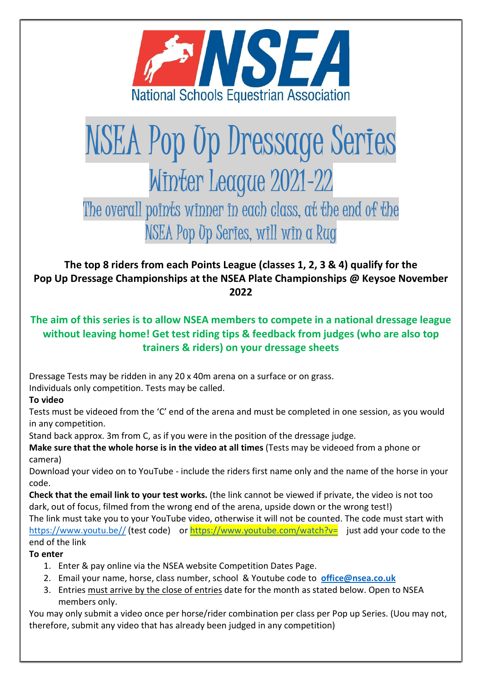

# NSEA Pop Up Dressage Series Winter League 2021-22

The overall points winner in each class, at the end of the NSEA Pop Up Series, will win a Rug

The top 8 riders from each Points League (classes 1, 2, 3 & 4) qualify for the Pop Up Dressage Championships at the NSEA Plate Championships @ Keysoe November 2022

# The aim of this series is to allow NSEA members to compete in a national dressage league without leaving home! Get test riding tips & feedback from judges (who are also top trainers & riders) on your dressage sheets

Dressage Tests may be ridden in any 20 x 40m arena on a surface or on grass.

Individuals only competition. Tests may be called.

# To video

Tests must be videoed from the 'C' end of the arena and must be completed in one session, as you would in any competition.

Stand back approx. 3m from C, as if you were in the position of the dressage judge.

Make sure that the whole horse is in the video at all times (Tests may be videoed from a phone or camera)

Download your video on to YouTube ‐ include the riders first name only and the name of the horse in your code.

Check that the email link to your test works. (the link cannot be viewed if private, the video is not too dark, out of focus, filmed from the wrong end of the arena, upside down or the wrong test!)

The link must take you to your YouTube video, otherwise it will not be counted. The code must start with https://www.youtu.be// (test code) or https://www.youtube.com/watch?v= just add your code to the end of the link

# To enter

- 1. Enter & pay online via the NSEA website Competition Dates Page.
- 2. Email your name, horse, class number, school & Youtube code to office@nsea.co.uk
- 3. Entries must arrive by the close of entries date for the month as stated below. Open to NSEA members only.

You may only submit a video once per horse/rider combination per class per Pop up Series. (Uou may not, therefore, submit any video that has already been judged in any competition)